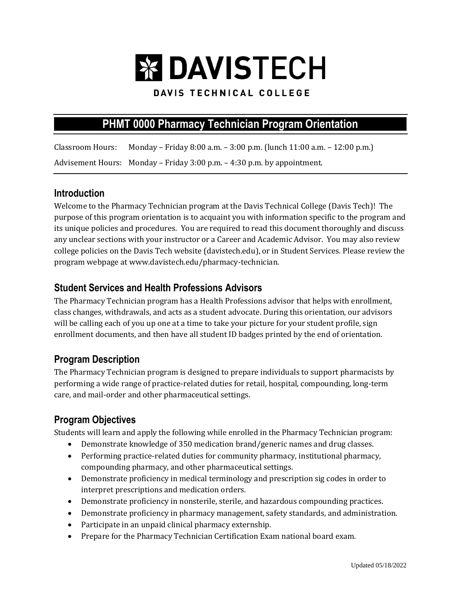# **EX DAVISTECH**

#### DAVIS TECHNICAL COLLEGE

# **PHMT 0000 Pharmacy Technician Program Orientation**

Classroom Hours: Monday – Friday 8:00 a.m. – 3:00 p.m. (lunch 11:00 a.m. – 12:00 p.m.) Advisement Hours: Monday – Friday 3:00 p.m. – 4:30 p.m. by appointment.

#### **Introduction**

Welcome to the Pharmacy Technician program at the Davis Technical College (Davis Tech)! The purpose of this program orientation is to acquaint you with information specific to the program and its unique policies and procedures. You are required to read this document thoroughly and discuss any unclear sections with your instructor or a Career and Academic Advisor. You may also review college policies on the Davis Tech website (davistech.edu), or in Student Services. Please review the program webpage at www.davistech.edu/pharmacy-technician.

#### **Student Services and Health Professions Advisors**

The Pharmacy Technician program has a Health Professions advisor that helps with enrollment, class changes, withdrawals, and acts as a student advocate. During this orientation, our advisors will be calling each of you up one at a time to take your picture for your student profile, sign enrollment documents, and then have all student ID badges printed by the end of orientation.

## **Program Description**

The Pharmacy Technician program is designed to prepare individuals to support pharmacists by performing a wide range of practice-related duties for retail, hospital, compounding, long-term care, and mail-order and other pharmaceutical settings.

## **Program Objectives**

Students will learn and apply the following while enrolled in the Pharmacy Technician program:

- Demonstrate knowledge of 350 medication brand/generic names and drug classes.
- Performing practice-related duties for community pharmacy, institutional pharmacy, compounding pharmacy, and other pharmaceutical settings.
- Demonstrate proficiency in medical terminology and prescription sig codes in order to interpret prescriptions and medication orders.
- Demonstrate proficiency in nonsterile, sterile, and hazardous compounding practices.
- Demonstrate proficiency in pharmacy management, safety standards, and administration.
- Participate in an unpaid clinical pharmacy externship.
- Prepare for the Pharmacy Technician Certification Exam national board exam.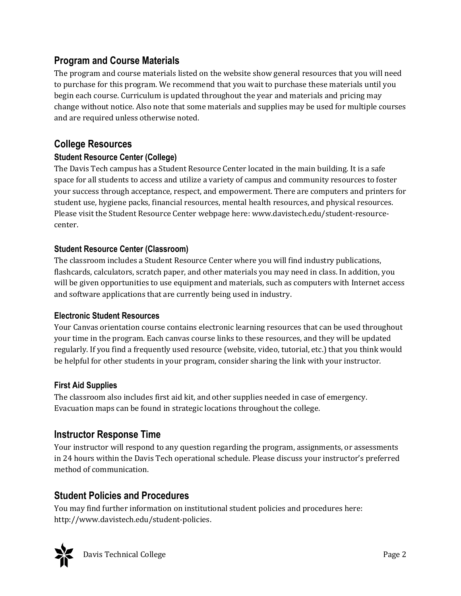## **Program and Course Materials**

The program and course materials listed on the website show general resources that you will need to purchase for this program. We recommend that you wait to purchase these materials until you begin each course. Curriculum is updated throughout the year and materials and pricing may change without notice. Also note that some materials and supplies may be used for multiple courses and are required unless otherwise noted.

## **College Resources**

## **Student Resource Center (College)**

The Davis Tech campus has a Student Resource Center located in the main building. It is a safe space for all students to access and utilize a variety of campus and community resources to foster your success through acceptance, respect, and empowerment. There are computers and printers for student use, hygiene packs, financial resources, mental health resources, and physical resources. Please visit the Student Resource Center webpage here: www.davistech.edu/student-resourcecenter.

#### **Student Resource Center (Classroom)**

The classroom includes a Student Resource Center where you will find industry publications, flashcards, calculators, scratch paper, and other materials you may need in class. In addition, you will be given opportunities to use equipment and materials, such as computers with Internet access and software applications that are currently being used in industry.

#### **Electronic Student Resources**

Your Canvas orientation course contains electronic learning resources that can be used throughout your time in the program. Each canvas course links to these resources, and they will be updated regularly. If you find a frequently used resource (website, video, tutorial, etc.) that you think would be helpful for other students in your program, consider sharing the link with your instructor.

## **First Aid Supplies**

The classroom also includes first aid kit, and other supplies needed in case of emergency. Evacuation maps can be found in strategic locations throughout the college.

## **Instructor Response Time**

Your instructor will respond to any question regarding the program, assignments, or assessments in 24 hours within the Davis Tech operational schedule. Please discuss your instructor's preferred method of communication.

## **Student Policies and Procedures**

You may find further information on institutional student policies and procedures here: http://www.davistech.edu/student-policies.

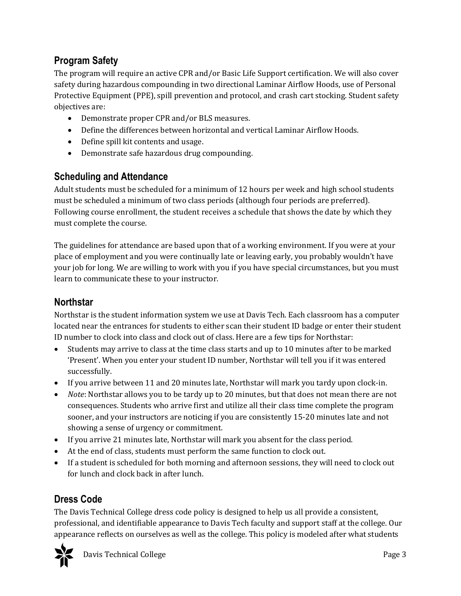# **Program Safety**

The program will require an active CPR and/or Basic Life Support certification. We will also cover safety during hazardous compounding in two directional Laminar Airflow Hoods, use of Personal Protective Equipment (PPE), spill prevention and protocol, and crash cart stocking. Student safety objectives are:

- Demonstrate proper CPR and/or BLS measures.
- Define the differences between horizontal and vertical Laminar Airflow Hoods.
- Define spill kit contents and usage.
- Demonstrate safe hazardous drug compounding.

## **Scheduling and Attendance**

Adult students must be scheduled for a minimum of 12 hours per week and high school students must be scheduled a minimum of two class periods (although four periods are preferred). Following course enrollment, the student receives a schedule that shows the date by which they must complete the course.

The guidelines for attendance are based upon that of a working environment. If you were at your place of employment and you were continually late or leaving early, you probably wouldn't have your job for long. We are willing to work with you if you have special circumstances, but you must learn to communicate these to your instructor.

## **Northstar**

Northstar is the student information system we use at Davis Tech. Each classroom has a computer located near the entrances for students to either scan their student ID badge or enter their student ID number to clock into class and clock out of class. Here are a few tips for Northstar:

- Students may arrive to class at the time class starts and up to 10 minutes after to be marked 'Present'. When you enter your student ID number, Northstar will tell you if it was entered successfully.
- If you arrive between 11 and 20 minutes late, Northstar will mark you tardy upon clock-in.
- *Note*: Northstar allows you to be tardy up to 20 minutes, but that does not mean there are not consequences. Students who arrive first and utilize all their class time complete the program sooner, and your instructors are noticing if you are consistently 15-20 minutes late and not showing a sense of urgency or commitment.
- If you arrive 21 minutes late, Northstar will mark you absent for the class period.
- At the end of class, students must perform the same function to clock out.
- If a student is scheduled for both morning and afternoon sessions, they will need to clock out for lunch and clock back in after lunch.

## **Dress Code**

The Davis Technical College dress code policy is designed to help us all provide a consistent, professional, and identifiable appearance to Davis Tech faculty and support staff at the college. Our appearance reflects on ourselves as well as the college. This policy is modeled after what students

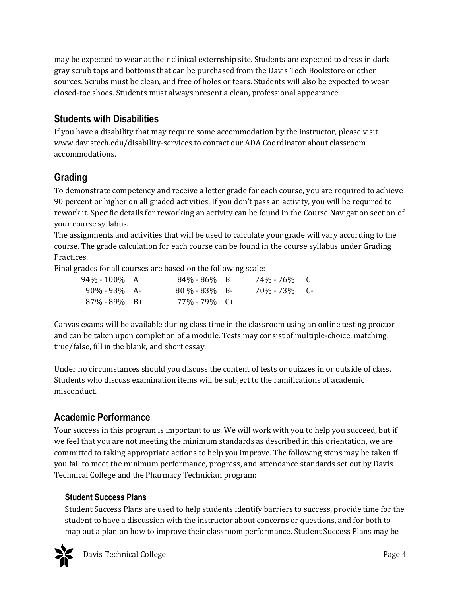may be expected to wear at their clinical externship site. Students are expected to dress in dark gray scrub tops and bottoms that can be purchased from the Davis Tech Bookstore or other sources. Scrubs must be clean, and free of holes or tears. Students will also be expected to wear closed-toe shoes. Students must always present a clean, professional appearance.

## **Students with Disabilities**

If you have a disability that may require some accommodation by the instructor, please visit www.davistech.edu/disability-services to contact our ADA Coordinator about classroom accommodations.

# **Grading**

To demonstrate competency and receive a letter grade for each course, you are required to achieve 90 percent or higher on all graded activities. If you don't pass an activity, you will be required to rework it. Specific details for reworking an activity can be found in the Course Navigation section of your course syllabus.

The assignments and activities that will be used to calculate your grade will vary according to the course. The grade calculation for each course can be found in the course syllabus under Grading Practices.

Final grades for all courses are based on the following scale:

| 94%-100% A       | $84\% - 86\%$ B  | 74%-76% C  |  |
|------------------|------------------|------------|--|
| $90\% - 93\%$ A- | $80\% - 83\%$ B- | 70%-73% C- |  |
| $87\% - 89\%$ B+ | 77%-79% C+       |            |  |

Canvas exams will be available during class time in the classroom using an online testing proctor and can be taken upon completion of a module. Tests may consist of multiple-choice, matching, true/false, fill in the blank, and short essay.

Under no circumstances should you discuss the content of tests or quizzes in or outside of class. Students who discuss examination items will be subject to the ramifications of academic misconduct.

# **Academic Performance**

Your success in this program is important to us. We will work with you to help you succeed, but if we feel that you are not meeting the minimum standards as described in this orientation, we are committed to taking appropriate actions to help you improve. The following steps may be taken if you fail to meet the minimum performance, progress, and attendance standards set out by Davis Technical College and the Pharmacy Technician program:

#### **Student Success Plans**

Student Success Plans are used to help students identify barriers to success, provide time for the student to have a discussion with the instructor about concerns or questions, and for both to map out a plan on how to improve their classroom performance. Student Success Plans may be

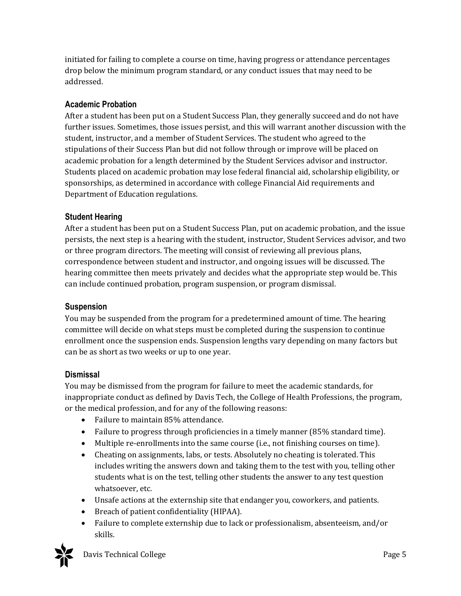initiated for failing to complete a course on time, having progress or attendance percentages drop below the minimum program standard, or any conduct issues that may need to be addressed.

#### **Academic Probation**

After a student has been put on a Student Success Plan, they generally succeed and do not have further issues. Sometimes, those issues persist, and this will warrant another discussion with the student, instructor, and a member of Student Services. The student who agreed to the stipulations of their Success Plan but did not follow through or improve will be placed on academic probation for a length determined by the Student Services advisor and instructor. Students placed on academic probation may lose federal financial aid, scholarship eligibility, or sponsorships, as determined in accordance with college Financial Aid requirements and Department of Education regulations.

#### **Student Hearing**

After a student has been put on a Student Success Plan, put on academic probation, and the issue persists, the next step is a hearing with the student, instructor, Student Services advisor, and two or three program directors. The meeting will consist of reviewing all previous plans, correspondence between student and instructor, and ongoing issues will be discussed. The hearing committee then meets privately and decides what the appropriate step would be. This can include continued probation, program suspension, or program dismissal.

#### **Suspension**

You may be suspended from the program for a predetermined amount of time. The hearing committee will decide on what steps must be completed during the suspension to continue enrollment once the suspension ends. Suspension lengths vary depending on many factors but can be as short as two weeks or up to one year.

#### **Dismissal**

You may be dismissed from the program for failure to meet the academic standards, for inappropriate conduct as defined by Davis Tech, the College of Health Professions, the program, or the medical profession, and for any of the following reasons:

- Failure to maintain 85% attendance.
- Failure to progress through proficiencies in a timely manner (85% standard time).
- Multiple re-enrollments into the same course (i.e., not finishing courses on time).
- Cheating on assignments, labs, or tests. Absolutely no cheating is tolerated. This includes writing the answers down and taking them to the test with you, telling other students what is on the test, telling other students the answer to any test question whatsoever, etc.
- Unsafe actions at the externship site that endanger you, coworkers, and patients.
- Breach of patient confidentiality (HIPAA).
- Failure to complete externship due to lack or professionalism, absenteeism, and/or skills.



Davis Technical College **Page 5**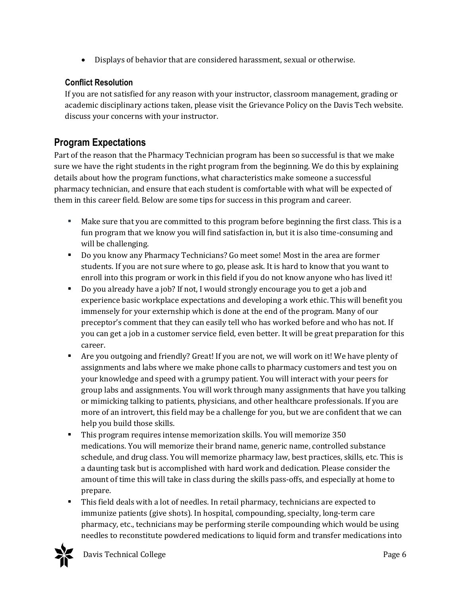• Displays of behavior that are considered harassment, sexual or otherwise.

#### **Conflict Resolution**

If you are not satisfied for any reason with your instructor, classroom management, grading or academic disciplinary actions taken, please visit the Grievance Policy on the Davis Tech website. discuss your concerns with your instructor.

## **Program Expectations**

Part of the reason that the Pharmacy Technician program has been so successful is that we make sure we have the right students in the right program from the beginning. We do this by explaining details about how the program functions, what characteristics make someone a successful pharmacy technician, and ensure that each student is comfortable with what will be expected of them in this career field. Below are some tips for success in this program and career.

- Make sure that you are committed to this program before beginning the first class. This is a fun program that we know you will find satisfaction in, but it is also time-consuming and will be challenging.
- Do you know any Pharmacy Technicians? Go meet some! Most in the area are former students. If you are not sure where to go, please ask. It is hard to know that you want to enroll into this program or work in this field if you do not know anyone who has lived it!
- Do you already have a job? If not, I would strongly encourage you to get a job and experience basic workplace expectations and developing a work ethic. This will benefit you immensely for your externship which is done at the end of the program. Many of our preceptor's comment that they can easily tell who has worked before and who has not. If you can get a job in a customer service field, even better. It will be great preparation for this career.
- Are you outgoing and friendly? Great! If you are not, we will work on it! We have plenty of assignments and labs where we make phone calls to pharmacy customers and test you on your knowledge and speed with a grumpy patient. You will interact with your peers for group labs and assignments. You will work through many assignments that have you talking or mimicking talking to patients, physicians, and other healthcare professionals. If you are more of an introvert, this field may be a challenge for you, but we are confident that we can help you build those skills.
- This program requires intense memorization skills. You will memorize 350 medications. You will memorize their brand name, generic name, controlled substance schedule, and drug class. You will memorize pharmacy law, best practices, skills, etc. This is a daunting task but is accomplished with hard work and dedication. Please consider the amount of time this will take in class during the skills pass-offs, and especially at home to prepare.
- This field deals with a lot of needles. In retail pharmacy, technicians are expected to immunize patients (give shots). In hospital, compounding, specialty, long-term care pharmacy, etc., technicians may be performing sterile compounding which would be using needles to reconstitute powdered medications to liquid form and transfer medications into

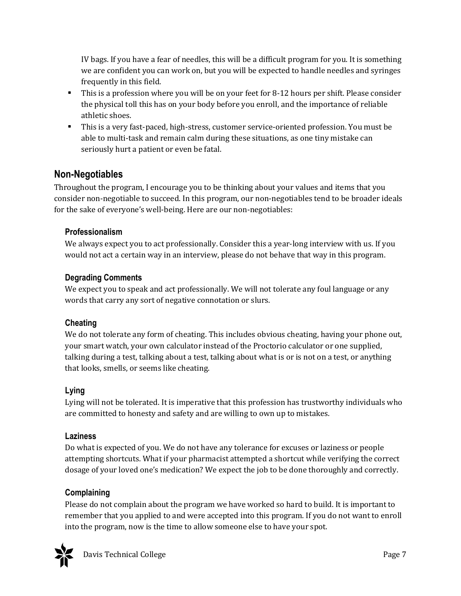IV bags. If you have a fear of needles, this will be a difficult program for you. It is something we are confident you can work on, but you will be expected to handle needles and syringes frequently in this field.

- This is a profession where you will be on your feet for 8-12 hours per shift. Please consider the physical toll this has on your body before you enroll, and the importance of reliable athletic shoes.
- This is a very fast-paced, high-stress, customer service-oriented profession. You must be able to multi-task and remain calm during these situations, as one tiny mistake can seriously hurt a patient or even be fatal.

## **Non-Negotiables**

Throughout the program, I encourage you to be thinking about your values and items that you consider non-negotiable to succeed. In this program, our non-negotiables tend to be broader ideals for the sake of everyone's well-being. Here are our non-negotiables:

#### **Professionalism**

We always expect you to act professionally. Consider this a year-long interview with us. If you would not act a certain way in an interview, please do not behave that way in this program.

#### **Degrading Comments**

We expect you to speak and act professionally. We will not tolerate any foul language or any words that carry any sort of negative connotation or slurs.

#### **Cheating**

We do not tolerate any form of cheating. This includes obvious cheating, having your phone out, your smart watch, your own calculator instead of the Proctorio calculator or one supplied, talking during a test, talking about a test, talking about what is or is not on a test, or anything that looks, smells, or seems like cheating.

#### **Lying**

Lying will not be tolerated. It is imperative that this profession has trustworthy individuals who are committed to honesty and safety and are willing to own up to mistakes.

#### **Laziness**

Do what is expected of you. We do not have any tolerance for excuses or laziness or people attempting shortcuts. What if your pharmacist attempted a shortcut while verifying the correct dosage of your loved one's medication? We expect the job to be done thoroughly and correctly.

#### **Complaining**

Please do not complain about the program we have worked so hard to build. It is important to remember that you applied to and were accepted into this program. If you do not want to enroll into the program, now is the time to allow someone else to have your spot.

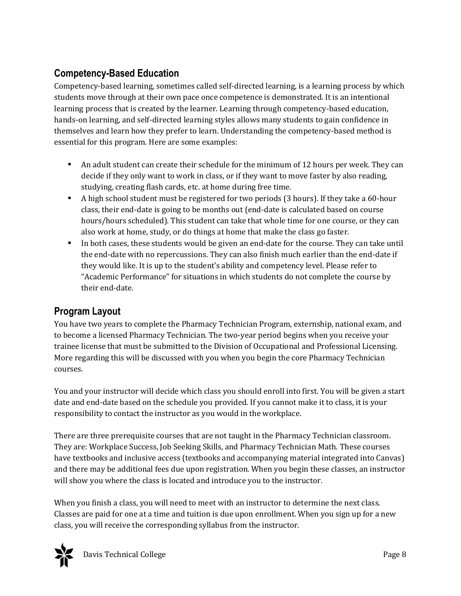# **Competency-Based Education**

Competency-based learning, sometimes called self-directed learning, is a learning process by which students move through at their own pace once competence is demonstrated. It is an intentional learning process that is created by the learner. Learning through competency-based education, hands-on learning, and self-directed learning styles allows many students to gain confidence in themselves and learn how they prefer to learn. Understanding the competency-based method is essential for this program. Here are some examples:

- An adult student can create their schedule for the minimum of 12 hours per week. They can decide if they only want to work in class, or if they want to move faster by also reading, studying, creating flash cards, etc. at home during free time.
- A high school student must be registered for two periods (3 hours). If they take a 60-hour class, their end-date is going to be months out (end-date is calculated based on course hours/hours scheduled). This student can take that whole time for one course, or they can also work at home, study, or do things at home that make the class go faster.
- In both cases, these students would be given an end-date for the course. They can take until the end-date with no repercussions. They can also finish much earlier than the end-date if they would like. It is up to the student's ability and competency level. Please refer to "Academic Performance" for situations in which students do not complete the course by their end-date.

## **Program Layout**

You have two years to complete the Pharmacy Technician Program, externship, national exam, and to become a licensed Pharmacy Technician. The two-year period begins when you receive your trainee license that must be submitted to the Division of Occupational and Professional Licensing. More regarding this will be discussed with you when you begin the core Pharmacy Technician courses.

You and your instructor will decide which class you should enroll into first. You will be given a start date and end-date based on the schedule you provided. If you cannot make it to class, it is your responsibility to contact the instructor as you would in the workplace.

There are three prerequisite courses that are not taught in the Pharmacy Technician classroom. They are: Workplace Success, Job Seeking Skills, and Pharmacy Technician Math. These courses have textbooks and inclusive access (textbooks and accompanying material integrated into Canvas) and there may be additional fees due upon registration. When you begin these classes, an instructor will show you where the class is located and introduce you to the instructor.

When you finish a class, you will need to meet with an instructor to determine the next class. Classes are paid for one at a time and tuition is due upon enrollment. When you sign up for a new class, you will receive the corresponding syllabus from the instructor.

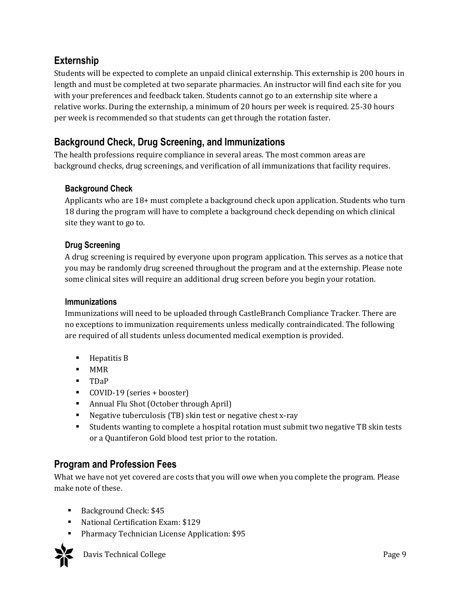## **Externship**

Students will be expected to complete an unpaid clinical externship. This externship is 200 hours in length and must be completed at two separate pharmacies. An instructor will find each site for you with your preferences and feedback taken. Students cannot go to an externship site where a relative works. During the externship, a minimum of 20 hours per week is required. 25-30 hours per week is recommended so that students can get through the rotation faster.

# **Background Check, Drug Screening, and Immunizations**

The health professions require compliance in several areas. The most common areas are background checks, drug screenings, and verification of all immunizations that facility requires.

#### **Background Check**

Applicants who are 18+ must complete a background check upon application. Students who turn 18 during the program will have to complete a background check depending on which clinical site they want to go to.

#### **Drug Screening**

A drug screening is required by everyone upon program application. This serves as a notice that you may be randomly drug screened throughout the program and at the externship. Please note some clinical sites will require an additional drug screen before you begin your rotation.

#### **Immunizations**

Immunizations will need to be uploaded through CastleBranch Compliance Tracker. There are no exceptions to immunization requirements unless medically contraindicated. The following are required of all students unless documented medical exemption is provided.

- Hepatitis B
- MMR
- TDaP
- COVID-19 (series + booster)
- Annual Flu Shot (October through April)
- Negative tuberculosis (TB) skin test or negative chest x-ray
- Students wanting to complete a hospital rotation must submit two negative TB skin tests or a Quantiferon Gold blood test prior to the rotation.

## **Program and Profession Fees**

What we have not yet covered are costs that you will owe when you complete the program. Please make note of these.

- Background Check: \$45
- National Certification Exam: \$129
- Pharmacy Technician License Application: \$95



Davis Technical College Page 9